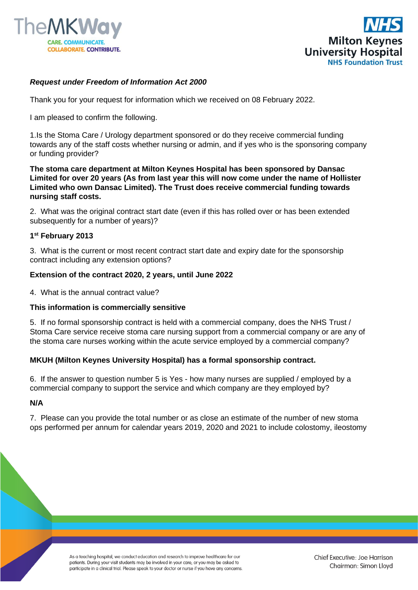



## *Request under Freedom of Information Act 2000*

Thank you for your request for information which we received on 08 February 2022.

I am pleased to confirm the following.

1.Is the Stoma Care / Urology department sponsored or do they receive commercial funding towards any of the staff costs whether nursing or admin, and if yes who is the sponsoring company or funding provider?

**The stoma care department at Milton Keynes Hospital has been sponsored by Dansac Limited for over 20 years (As from last year this will now come under the name of Hollister Limited who own Dansac Limited). The Trust does receive commercial funding towards nursing staff costs.**

2. What was the original contract start date (even if this has rolled over or has been extended subsequently for a number of years)?

### **1 st February 2013**

3. What is the current or most recent contract start date and expiry date for the sponsorship contract including any extension options?

### **Extension of the contract 2020, 2 years, until June 2022**

4. What is the annual contract value?

#### **This information is commercially sensitive**

5. If no formal sponsorship contract is held with a commercial company, does the NHS Trust / Stoma Care service receive stoma care nursing support from a commercial company or are any of the stoma care nurses working within the acute service employed by a commercial company?

### **MKUH (Milton Keynes University Hospital) has a formal sponsorship contract.**

6. If the answer to question number 5 is Yes - how many nurses are supplied / employed by a commercial company to support the service and which company are they employed by?

#### **N/A**

7. Please can you provide the total number or as close an estimate of the number of new stoma ops performed per annum for calendar years 2019, 2020 and 2021 to include colostomy, ileostomy

> As a teaching hospital, we conduct education and research to improve healthcare for our patients. During your visit students may be involved in your care, or you may be asked to participate in a clinical trial. Please speak to your doctor or nurse if you have any concerns.